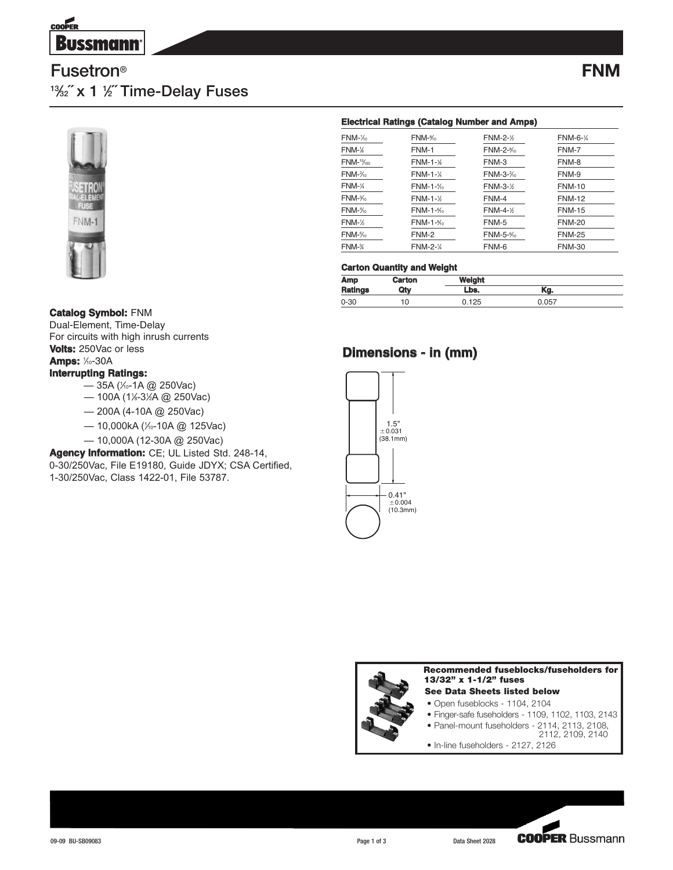

# **Fusetron® 13⁄32˝ x 1 1 ⁄2˝ Time-Delay Fuses**



#### **Electrical Ratings (Catalog Number and Amps)**

| FNM-1/ <sub>0</sub>  | FNM-%                | <b>FNM-2-1/2</b> | FNM-6-1/4     |
|----------------------|----------------------|------------------|---------------|
| FNM-%                | FNM-1                | FNM-2-%          | FNM-7         |
| FNM-15/100           | <b>FNM-1-</b> %      | FNM-3            | FNM-8         |
| FNM-%                | <b>FNM-1-</b> %      | FNM-3-%          | FNM-9         |
| FNM-¼                | $FNM-1-\frac{1}{10}$ | <b>FNM-3-1/2</b> | <b>FNM-10</b> |
| FNM- <sup>3</sup>    | $FNM-1-\frac{1}{2}$  | FNM-4            | <b>FNM-12</b> |
| FNM- <sup>1</sup> %  | $FNM-1-\frac{6}{10}$ | <b>FNM-4-1/2</b> | <b>FNM-15</b> |
| FNM-½                | FNM-1-%              | FNM-5            | <b>FNM-20</b> |
| FNM-%                | FNM-2                | FNM-5-%          | <b>FNM-25</b> |
| FNM- <sup>3</sup> /4 | <b>FNM-2-1/4</b>     | FNM-6            | <b>FNM-30</b> |

#### **Carton Quantity and Weight**

| Amp            | Carton | Weight |       |  |
|----------------|--------|--------|-------|--|
| <b>Ratings</b> | Qtv    | Lbs.   | Kg.   |  |
| $0 - 30$       | 10     | 0.125  | 0.057 |  |

### **Catalog Symbol:** FNM

Dual-Element, Time-Delay For circuits with high inrush currents **Volts:** 250Vac or less **Amps:** 1⁄0-30A

#### **Interrupting Ratings:**

- 35A (⅓-1A @ 250Vac)
- 100A (1*‰*-3½A @ 250Vac)
- 200A (4-10A @ 250Vac)
- 10,000kA (⅓-10A @ 125Vac)
- 10,000A (12-30A @ 250Vac)

**Agency Information:** CE; UL Listed Std. 248-14, 0-30/250Vac, File E19180, Guide JDYX; CSA Certified, 1-30/250Vac, Class 1422-01, File 53787.

## **Dimensions - in (mm)**





• In-line fuseholders - 2127, 2126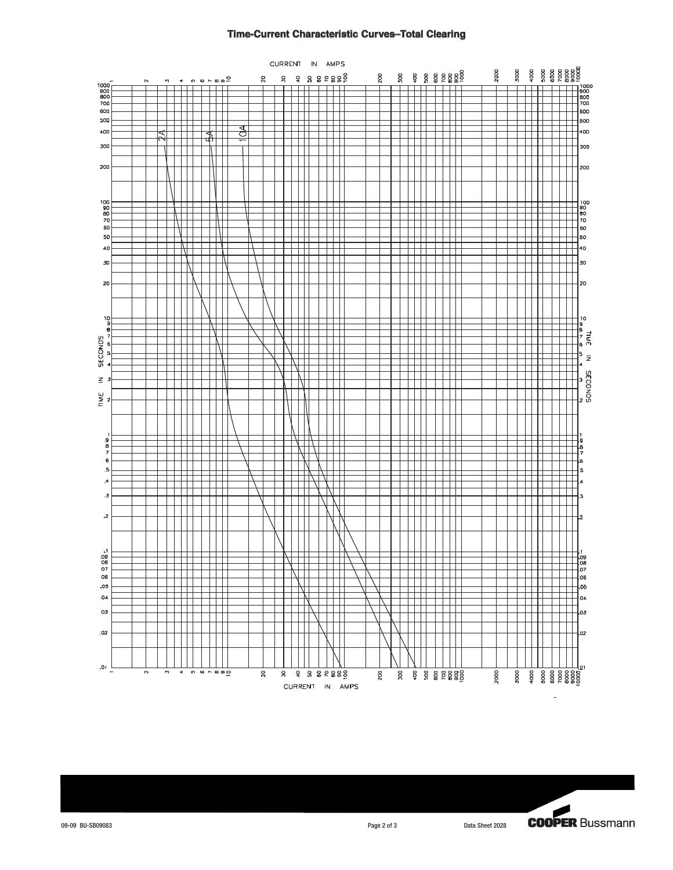#### **Time-Current Characteristic Curves–Total Clearing**



**COOPER Bussmann** 

09-09 BU-SB09083 Page 2 of 3 Data Sheet 2028